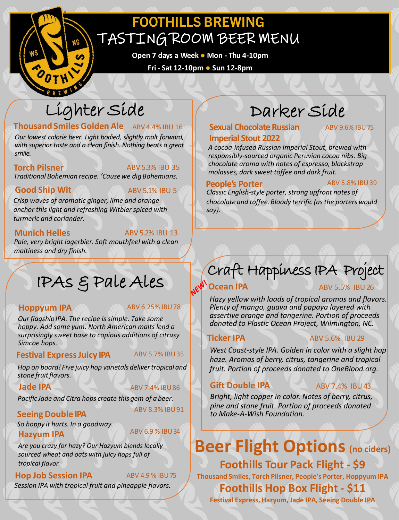## **FOOTHILLS BREWING** TASTING ROOM BEER MENU

**Open 7 days a Week ● Mon - Thu 4-10pm**

**Fri - Sat 12-10pm ● Sun 12-8pm**

## Lighter Side

## **Thousand Smiles Golden Ale** ABV 4.4% IBU 16

*Our lowest calorie beer. Light bodied, slightly malt forward, with superior taste and a clean finish. Nothing beats a great smile.*

**Torch Pilsner** ABV 5.3% IBU 35

*Traditional Bohemian recipe. 'Causewe dig Bohemians.*

### **Good Ship Wit ABV 5.1% IBU 5**

*Crisp waves of aromatic ginger, lime and orange anchor this light and refreshing Witbier spiced with turmeric and coriander.* 

**Munich Helles** ABV 5.2% IBU 13

*Pale, very bright lagerbier. Soft mouthfeel with a clean maltiness and dry finish.* 

# IPAs & Pale Ales

### **Hoppyum IPA** ABV 6.25% IBU78

*Our flagshipIPA. The recipe is simple. Take some hoppy. Add some yum. North American malts lend a surprisingly sweet base to copious additions of citrusy Simcoe hops.*

### **Festival Express Juicy IPA** ABV 5.7% IBU35

*Hop on board! Five juicy hop varietals deliver tropical and stone fruitflavors.*

### **Jade IPA** ABV 7.4% IBU86

*Pacific Jade and Citra hops create this gem of a beer.*

## ABV 8.3% IBU91 **Seeing Double IPA**

*So hoppy it hurts. In a goodway.* **Hazyum IPA** ABV 6.9 % IBU34

ABV 4.9 % IBU75

*Are you crazy for hazy? Our Hazyum blends locally sourced wheat and oats with juicy hops full of tropical flavor.* 

### **Hop Job Session IPA**

*Session IPA with tropical fruit and pineapple flavors.* 

# Darker Side

## **Sexual Chocolate Russian Imperial Stout 2022**

ABV 9.6% IBU75

*A cocoa-infused Russian Imperial Stout, brewed with responsibly-sourced organic Peruvian cocoa nibs. Big chocolate aroma with notes of espresso, blackstrap molasses, dark sweet toffee and dark fruit.*

### **People's Porter** ABV 5.8% IBU39

*Classic English-style porter, strong upfront notes of chocolate and toffee. Bloody terrific (asthe porters would say).*

## Craft Happiness IPA Project

## **CV<sup>V</sup> Ocean IPA** ABV 5.5% IBU 26

*Hazy yellow with loads of tropical aromas and flavors. Plenty of mango, guava and papaya layered with assertive orange and tangerine. Portion of proceeds donated to Plastic Ocean Project, Wilmington, NC.*

### **Ticker IPA** ABV 5.6% IBU 29

*West Coast-style IPA. Golden in color with a slight hop haze. Aromas of berry, citrus, tangerine and tropical fruit. Portion of proceeds donated to OneBlood.org.*

## **Gift Double IPA** ABV 7.4% IBU 43

*Bright, light copper in color. Notes of berry, citrus, pine and stone fruit. Portion of proceeds donated to Make-A-Wish Foundation.* 

## **Beer Flight Options (no ciders) Foothills Tour Pack Flight - \$9 Thousand Smiles, Torch Pilsner, People's Porter, Hoppyum IPA Foothills Hop Box Flight - \$11**

**Festival Express, Hazyum, Jade IPA, Seeing Double IPA**